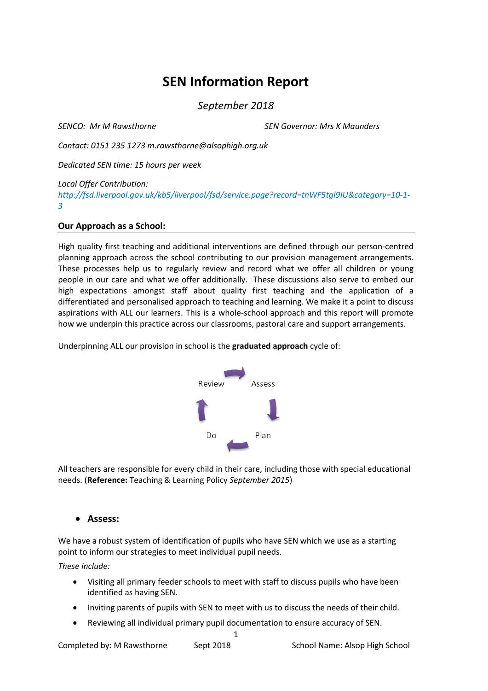# **SEN Information Report**

*September 2018*

*SENCO: Mr M Rawsthorne SEN Governor: Mrs K Maunders*

*Contact: 0151 235 1273 m.rawsthorne@alsophigh.org.uk*

*Dedicated SEN time: 15 hours per week*

*Local Offer Contribution:* 

*http://fsd.liverpool.gov.uk/kb5/liverpool/fsd/service.page?record=tnWF5tgl9IU&category=10-1- 3*

## **Our Approach as a School:**

High quality first teaching and additional interventions are defined through our person-centred planning approach across the school contributing to our provision management arrangements. These processes help us to regularly review and record what we offer all children or young people in our care and what we offer additionally. These discussions also serve to embed our high expectations amongst staff about quality first teaching and the application of a differentiated and personalised approach to teaching and learning. We make it a point to discuss aspirations with ALL our learners. This is a whole-school approach and this report will promote how we underpin this practice across our classrooms, pastoral care and support arrangements.

Underpinning ALL our provision in school is the **graduated approach** cycle of:



All teachers are responsible for every child in their care, including those with special educational needs. (**Reference:** Teaching & Learning Policy *September 2015*)

## • **Assess:**

We have a robust system of identification of pupils who have SEN which we use as a starting point to inform our strategies to meet individual pupil needs.

*These include:*

- Visiting all primary feeder schools to meet with staff to discuss pupils who have been identified as having SEN.
- Inviting parents of pupils with SEN to meet with us to discuss the needs of their child.
- Reviewing all individual primary pupil documentation to ensure accuracy of SEN.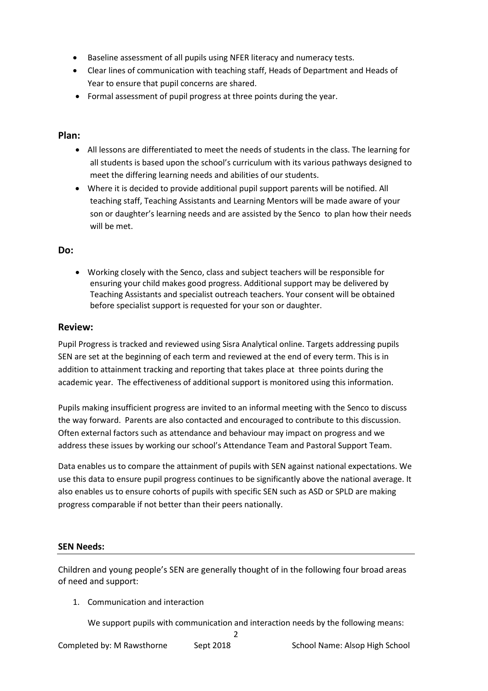- Baseline assessment of all pupils using NFER literacy and numeracy tests.
- Clear lines of communication with teaching staff, Heads of Department and Heads of Year to ensure that pupil concerns are shared.
- Formal assessment of pupil progress at three points during the year.

## **Plan:**

- All lessons are differentiated to meet the needs of students in the class. The learning for all students is based upon the school's curriculum with its various pathways designed to meet the differing learning needs and abilities of our students.
- Where it is decided to provide additional pupil support parents will be notified. All teaching staff, Teaching Assistants and Learning Mentors will be made aware of your son or daughter's learning needs and are assisted by the Senco to plan how their needs will be met.

## **Do:**

• Working closely with the Senco, class and subject teachers will be responsible for ensuring your child makes good progress. Additional support may be delivered by Teaching Assistants and specialist outreach teachers. Your consent will be obtained before specialist support is requested for your son or daughter.

## **Review:**

Pupil Progress is tracked and reviewed using Sisra Analytical online. Targets addressing pupils SEN are set at the beginning of each term and reviewed at the end of every term. This is in addition to attainment tracking and reporting that takes place at three points during the academic year. The effectiveness of additional support is monitored using this information.

Pupils making insufficient progress are invited to an informal meeting with the Senco to discuss the way forward. Parents are also contacted and encouraged to contribute to this discussion. Often external factors such as attendance and behaviour may impact on progress and we address these issues by working our school's Attendance Team and Pastoral Support Team.

Data enables us to compare the attainment of pupils with SEN against national expectations. We use this data to ensure pupil progress continues to be significantly above the national average. It also enables us to ensure cohorts of pupils with specific SEN such as ASD or SPLD are making progress comparable if not better than their peers nationally.

## **SEN Needs:**

Children and young people's SEN are generally thought of in the following four broad areas of need and support:

1. Communication and interaction

We support pupils with communication and interaction needs by the following means:

2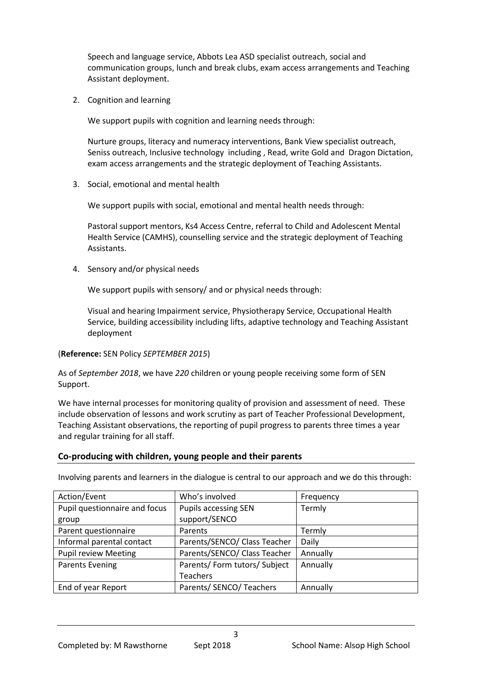Speech and language service, Abbots Lea ASD specialist outreach, social and communication groups, lunch and break clubs, exam access arrangements and Teaching Assistant deployment.

2. Cognition and learning

We support pupils with cognition and learning needs through:

Nurture groups, literacy and numeracy interventions, Bank View specialist outreach, Seniss outreach, Inclusive technology including , Read, write Gold and Dragon Dictation, exam access arrangements and the strategic deployment of Teaching Assistants.

3. Social, emotional and mental health

We support pupils with social, emotional and mental health needs through:

Pastoral support mentors, Ks4 Access Centre, referral to Child and Adolescent Mental Health Service (CAMHS), counselling service and the strategic deployment of Teaching Assistants.

4. Sensory and/or physical needs

We support pupils with sensory/ and or physical needs through:

Visual and hearing Impairment service, Physiotherapy Service, Occupational Health Service, building accessibility including lifts, adaptive technology and Teaching Assistant deployment

(**Reference:** SEN Policy *SEPTEMBER 2015*)

As of *September 2018*, we have *220* children or young people receiving some form of SEN Support.

We have internal processes for monitoring quality of provision and assessment of need. These include observation of lessons and work scrutiny as part of Teacher Professional Development, Teaching Assistant observations, the reporting of pupil progress to parents three times a year and regular training for all staff.

# **Co-producing with children, young people and their parents**

Involving parents and learners in the dialogue is central to our approach and we do this through:

| Action/Event                  | Who's involved               | Frequency |
|-------------------------------|------------------------------|-----------|
| Pupil questionnaire and focus | <b>Pupils accessing SEN</b>  | Termly    |
| group                         | support/SENCO                |           |
| Parent questionnaire          | Parents                      | Termly    |
| Informal parental contact     | Parents/SENCO/ Class Teacher | Daily     |
| <b>Pupil review Meeting</b>   | Parents/SENCO/ Class Teacher | Annually  |
| <b>Parents Evening</b>        | Parents/Form tutors/Subject  | Annually  |
|                               | <b>Teachers</b>              |           |
| End of year Report            | Parents/ SENCO/ Teachers     | Annually  |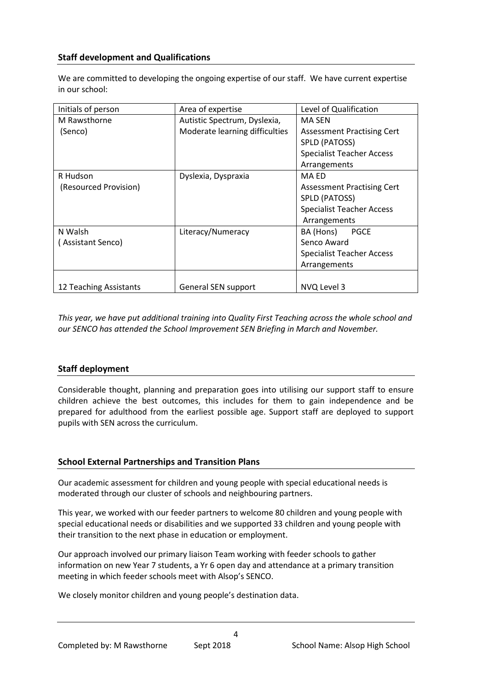# **Staff development and Qualifications**

We are committed to developing the ongoing expertise of our staff. We have current expertise in our school:

| Initials of person     | Area of expertise              | Level of Qualification           |
|------------------------|--------------------------------|----------------------------------|
| M Rawsthorne           | Autistic Spectrum, Dyslexia,   | MA SEN                           |
| (Senco)                | Moderate learning difficulties | Assessment Practising Cert       |
|                        |                                | SPLD (PATOSS)                    |
|                        |                                | <b>Specialist Teacher Access</b> |
|                        |                                | Arrangements                     |
| R Hudson               | Dyslexia, Dyspraxia            | <b>MA ED</b>                     |
| (Resourced Provision)  |                                | Assessment Practising Cert       |
|                        |                                | SPLD (PATOSS)                    |
|                        |                                | <b>Specialist Teacher Access</b> |
|                        |                                | Arrangements                     |
| N Walsh                | Literacy/Numeracy              | BA (Hons)<br><b>PGCE</b>         |
| (Assistant Senco)      |                                | Senco Award                      |
|                        |                                | <b>Specialist Teacher Access</b> |
|                        |                                | Arrangements                     |
|                        |                                |                                  |
| 12 Teaching Assistants | General SEN support            | NVQ Level 3                      |

*This year, we have put additional training into Quality First Teaching across the whole school and our SENCO has attended the School Improvement SEN Briefing in March and November.*

## **Staff deployment**

Considerable thought, planning and preparation goes into utilising our support staff to ensure children achieve the best outcomes, this includes for them to gain independence and be prepared for adulthood from the earliest possible age. Support staff are deployed to support pupils with SEN across the curriculum.

## **School External Partnerships and Transition Plans**

Our academic assessment for children and young people with special educational needs is moderated through our cluster of schools and neighbouring partners.

This year, we worked with our feeder partners to welcome 80 children and young people with special educational needs or disabilities and we supported 33 children and young people with their transition to the next phase in education or employment.

Our approach involved our primary liaison Team working with feeder schools to gather information on new Year 7 students, a Yr 6 open day and attendance at a primary transition meeting in which feeder schools meet with Alsop's SENCO.

 $\Delta$ 

We closely monitor children and young people's destination data.